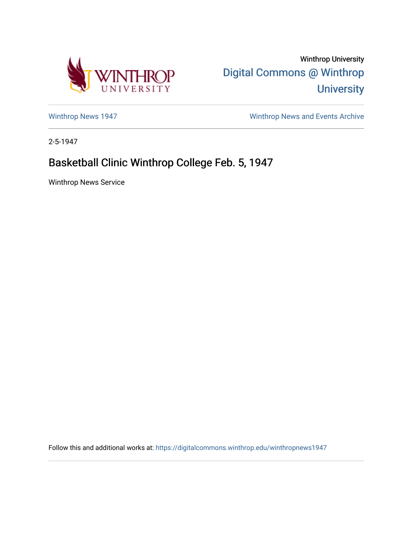

Winthrop University [Digital Commons @ Winthrop](https://digitalcommons.winthrop.edu/)  **University** 

[Winthrop News 1947](https://digitalcommons.winthrop.edu/winthropnews1947) [Winthrop News and Events Archive](https://digitalcommons.winthrop.edu/winthropnewsarchives) 

2-5-1947

## Basketball Clinic Winthrop College Feb. 5, 1947

Winthrop News Service

Follow this and additional works at: [https://digitalcommons.winthrop.edu/winthropnews1947](https://digitalcommons.winthrop.edu/winthropnews1947?utm_source=digitalcommons.winthrop.edu%2Fwinthropnews1947%2F74&utm_medium=PDF&utm_campaign=PDFCoverPages)